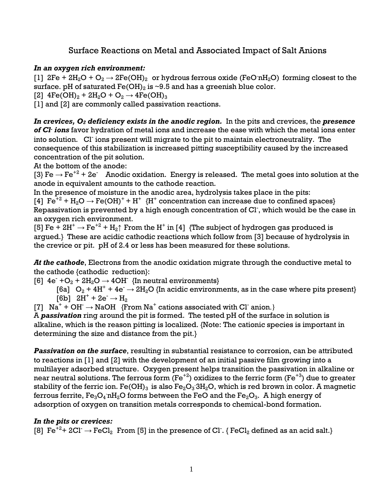## Surface Reactions on Metal and Associated Impact of Salt Anions

## *In an oxygen rich environment:*

[1]  $2Fe + 2H_2O + O_2 \rightarrow 2Fe(OH)_2$  or hydrous ferrous oxide (FeO nH<sub>2</sub>O) forming closest to the surface. pH of saturated  $Fe(OH)_2$  is ~9.5 and has a greenish blue color.

[2]  $4Fe(OH)<sub>2</sub> + 2H<sub>2</sub>O + O<sub>2</sub> \rightarrow 4Fe(OH)<sub>3</sub>$ 

[1] and [2] are commonly called passivation reactions.

*In crevices, O<sup>2</sup> deficiency exists in the anodic region.* In the pits and crevices, the *presence of Cl-ions* favor hydration of metal ions and increase the ease with which the metal ions enter into solution. Cl ions present will migrate to the pit to maintain electroneutrality. The consequence of this stabilization is increased pitting susceptibility caused by the increased concentration of the pit solution.

At the bottom of the anode:

[3} Fe  $\rightarrow$  Fe<sup>+2</sup> + 2e Anodic oxidation. Energy is released. The metal goes into solution at the anode in equivalent amounts to the cathode reaction.

In the presence of moisture in the anodic area, hydrolysis takes place in the pits:

[4]  $Fe^{+2} + H_2O \rightarrow Fe(OH)^+ + H^+$  {H<sup>+</sup> concentration can increase due to confined spaces} Repassivation is prevented by a high enough concentration of Cl- , which would be the case in an oxygen rich environment.

[5] Fe + 2H<sup>+</sup>  $\rightarrow$  Fe<sup>+2</sup> + H<sub>2</sub> $\uparrow$  From the H<sup>+</sup> in [4] {The subject of hydrogen gas produced is argued.} These are acidic cathodic reactions which follow from [3] because of hydrolysis in the crevice or pit. pH of 2.4 or less has been measured for these solutions.

*At the cathode*, Electrons from the anodic oxidation migrate through the conductive metal to the cathode {cathodic reduction}:

[6]  $4e^{-} + O_2 + 2H_2O \rightarrow 4OH$  {In neutral environments}

[6a]  $O_2 + 4H^+ + 4e^- \rightarrow 2H_2O$  {In acidic environments, as in the case where pits present}  $[6b]$  2H<sup>+</sup> + 2e<sup>-</sup>  $\rightarrow$  H<sub>2</sub>

[7]  $Na^+ + OH^- \rightarrow NaOH$  {From Na<sup>+</sup> cations associated with Cl anion.}

A *passivation* ring around the pit is formed. The tested pH of the surface in solution is alkaline, which is the reason pitting is localized. {Note: The cationic species is important in determining the size and distance from the pit.}

*Passivation on the surface*, resulting in substantial resistance to corrosion, can be attributed to reactions in [1] and [2] with the development of an initial passive film growing into a multilayer adsorbed structure. Oxygen present helps transition the passivation in alkaline or near neutral solutions. The ferrous form  $(Fe^{+2})$  oxidizes to the ferric form  $(Fe^{+3})$  due to greater stability of the ferric ion. Fe(OH) $_3$  is also Fe $_2$ O $_3\cdot$ 3H $_2$ O, which is red brown in color. A magnetic ferrous ferrite,  $\text{Fe}_3\text{O}_4$  nH $_2\text{O}$  forms between the FeO and the  $\text{Fe}_2\text{O}_3$ . A high energy of adsorption of oxygen on transition metals corresponds to chemical-bond formation.

## *In the pits or crevices:*

[8]  $\rm Fe^{+2+}$  2Cl<sup>-</sup>  $\rightarrow$  FeCl<sub>2</sub> From [5] in the presence of Cl<sup>-</sup>. { FeCl<sub>2</sub> defined as an acid salt.}